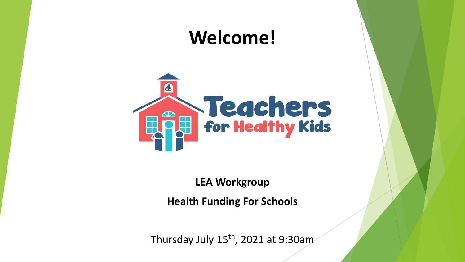## **Welcome!**



**LEA Workgroup Health Funding For Schools**

Thursday July  $15^{th}$ , 2021 at 9:30am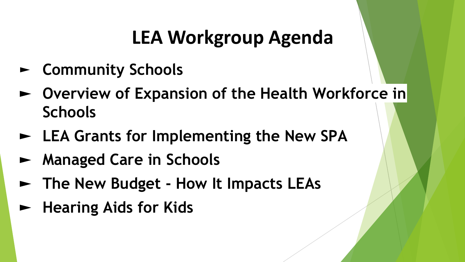## **LEA Workgroup Agenda**

- ► **Community Schools**
- ► **Overview of Expansion of the Health Workforce in Schools**
- ► **LEA Grants for Implementing the New SPA**
- ► **Managed Care in Schools**
- ► **The New Budget How It Impacts LEAs**
- ► **Hearing Aids for Kids**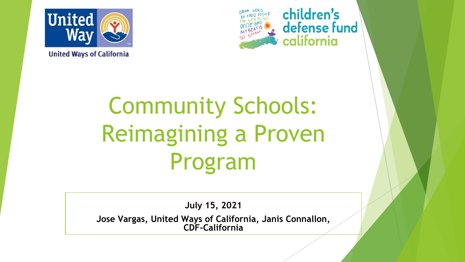

**United Ways of California** 



children's defense fund california

# Community Schools: Reimagining a Proven Program

**July 15, 2021**

**Jose Vargas, United Ways of California, Janis Connallon, CDF-California**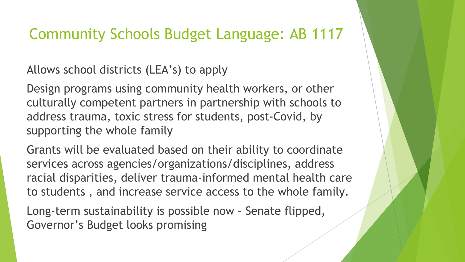#### Community Schools Budget Language: AB 1117

Allows school districts (LEA's) to apply

Design programs using community health workers, or other culturally competent partners in partnership with schools to address trauma, toxic stress for students, post-Covid, by supporting the whole family

Grants will be evaluated based on their ability to coordinate services across agencies/organizations/disciplines, address racial disparities, deliver trauma-informed mental health care to students , and increase service access to the whole family.

Long-term sustainability is possible now – Senate flipped, Governor's Budget looks promising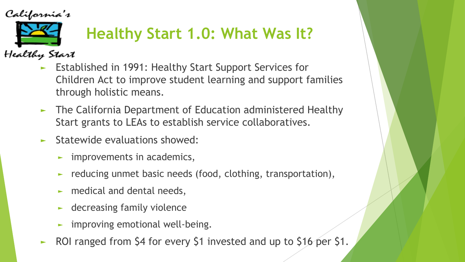California's



Healthy Start

- ► Established in 1991: Healthy Start Support Services for Children Act to improve student learning and support families through holistic means.
- ► The California Department of Education administered Healthy Start grants to LEAs to establish service collaboratives.
- ► Statewide evaluations showed:
	- $\blacktriangleright$  improvements in academics,
	- ► reducing unmet basic needs (food, clothing, transportation),
	- $\blacktriangleright$  medical and dental needs,
	- ► decreasing family violence
	- ► improving emotional well-being.
- ► ROI ranged from \$4 for every \$1 invested and up to \$16 per \$1.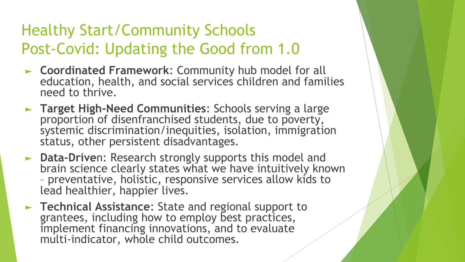### Healthy Start/Community Schools Post-Covid: Updating the Good from 1.0

- ► **Coordinated Framework**: Community hub model for all education, health, and social services children and families need to thrive.
- ► **Target High-Need Communities**: Schools serving a large proportion of disenfranchised students, due to poverty, systemic discrimination/inequities, isolation, immigration status, other persistent disadvantages.
- ► **Data-Drive**n: Research strongly supports this model and brain science clearly states what we have intuitively known – preventative, holistic, responsive services allow kids to lead healthier, happier lives.
- ► **Technical Assistance**: State and regional support to grantees, including how to employ best practices, implement financing innovations, and to evaluate multi-indicator, whole child outcomes.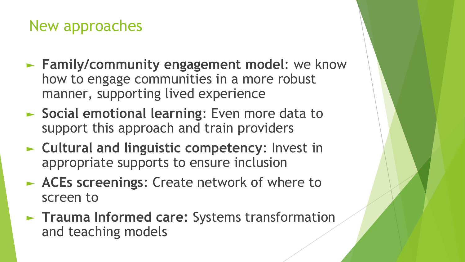#### New approaches

- ► **Family/community engagement model**: we know how to engage communities in a more robust manner, supporting lived experience
- ► **Social emotional learning**: Even more data to support this approach and train providers
- ► **Cultural and linguistic competency**: Invest in appropriate supports to ensure inclusion
- ► **ACEs screenings**: Create network of where to screen to
- ► **Trauma Informed care:** Systems transformation and teaching models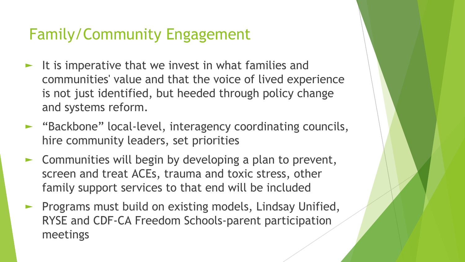### Family/Community Engagement

- It is imperative that we invest in what families and communities' value and that the voice of lived experience is not just identified, but heeded through policy change and systems reform.
- ► "Backbone" local-level, interagency coordinating councils, hire community leaders, set priorities
- ► Communities will begin by developing a plan to prevent, screen and treat ACEs, trauma and toxic stress, other family support services to that end will be included
- ► Programs must build on existing models, Lindsay Unified, RYSE and CDF-CA Freedom Schools-parent participation meetings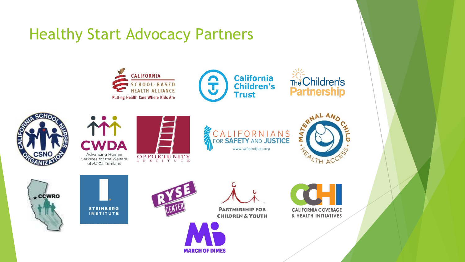#### Healthy Start Advocacy Partners



**MARCH OF DIMES**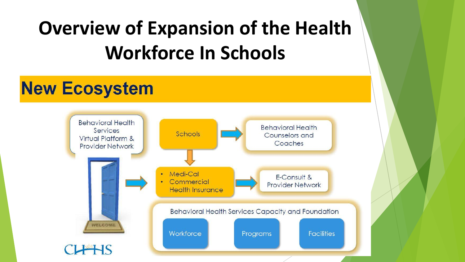## **Overview of Expansion of the Health Workforce In Schools**

### **New Ecosystem**

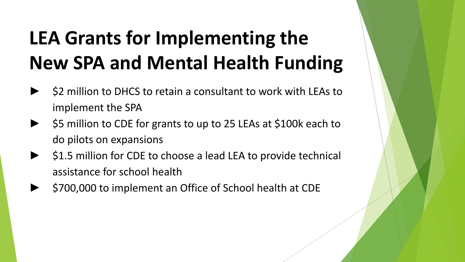## **LEA Grants for Implementing the New SPA and Mental Health Funding**

- \$2 million to DHCS to retain a consultant to work with LEAs to implement the SPA
- \$5 million to CDE for grants to up to 25 LEAs at \$100k each to do pilots on expansions
- \$1.5 million for CDE to choose a lead LEA to provide technical assistance for school health
- \$700,000 to implement an Office of School health at CDE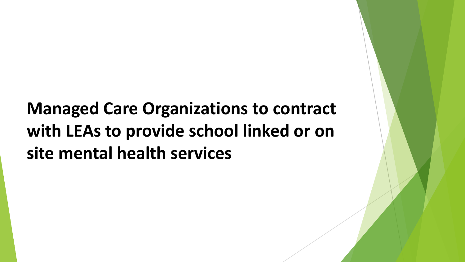## **Managed Care Organizations to contract with LEAs to provide school linked or on site mental health services**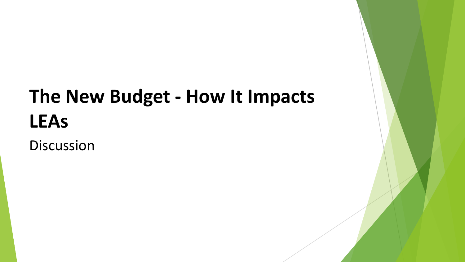## **The New Budget - How It Impacts LEAs**

Discussion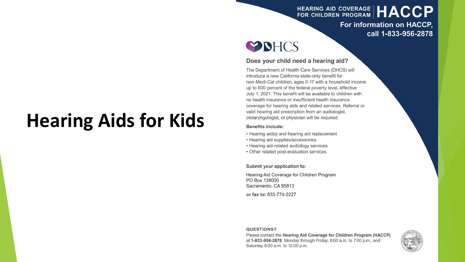#### HEARING AID COVERAGE | HACCP

For information on HACCP, call 1-833-956-2878



#### Does your child need a hearing aid?

The Department of Health Care Services (DHCS) will introduce a new California state-only benefit for non-Medi-Cal children, ages 0-17 with a household income up to 600 percent of the federal poverty level, effective July 1, 2021. This benefit will be available to children with no health insurance or insufficient health insurance coverage for hearing aids and related services. Referral or valid hearing aid prescription from an audiologist, otolaryngologist, or physician will be required.

#### **Benefits include:**

- Hearing aid(s) and hearing aid replacement
- Hearing aid supplies/accessories
- Hearing aid-related audiology services
- Other related post-evaluation services

Submit your application to:

Hearing Aid Coverage for Children Program PO Box 138000 Sacramento, CA 95813

or fax to: 833-774-2227

#### QUESTIONS?

Please contact the Hearing Aid Coverage for Children Program (HACCP) at 1-833-956-2878, Monday through Friday, 8:00 a.m. to 7:00 p.m., and Saturday 8:00 a.m. to 12:00 p.m.



## **Hearing Aids for Kids**